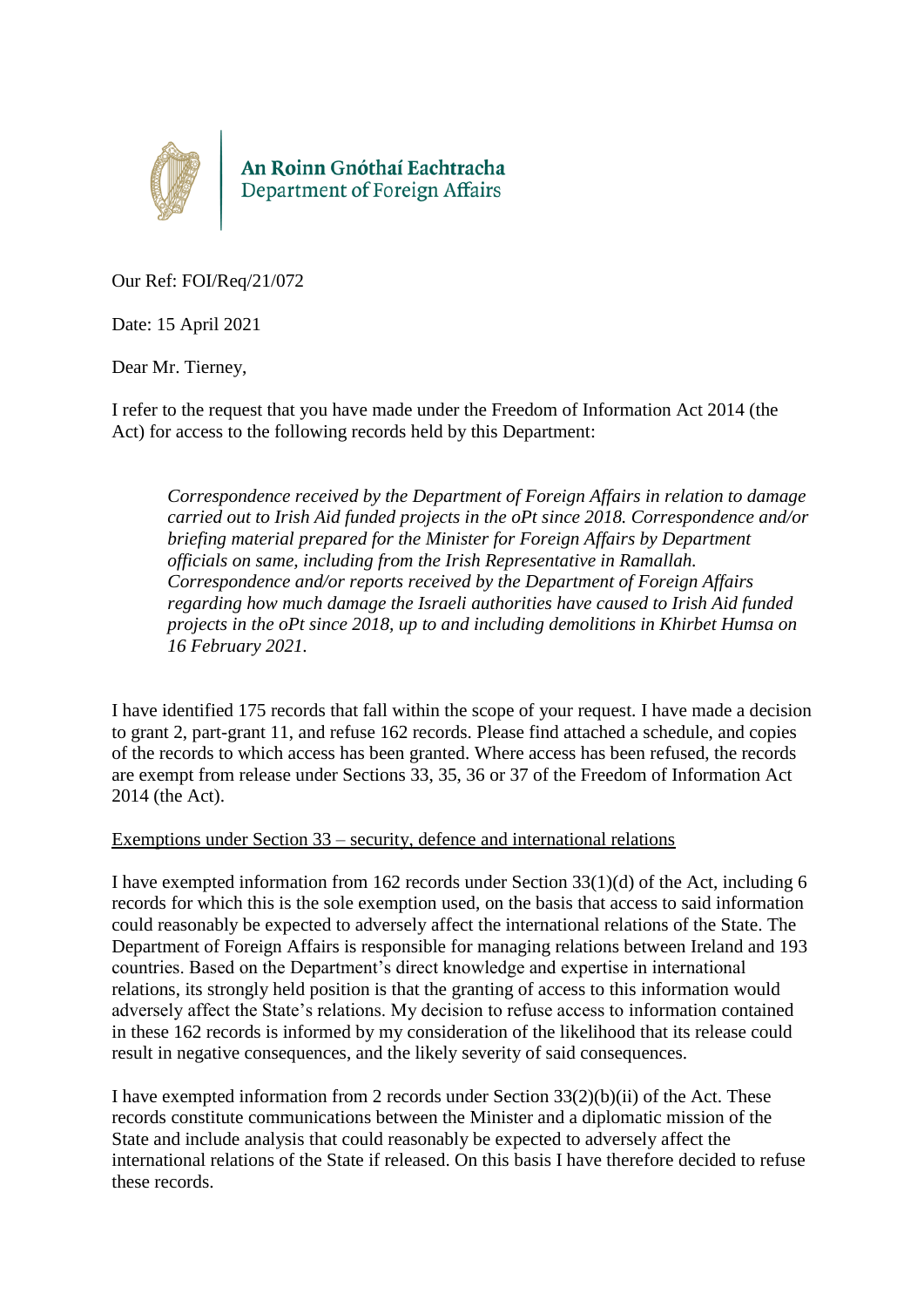

An Roinn Gnóthaí Eachtracha<br>Department of Foreign Affairs

Our Ref: FOI/Req/21/072

Date: 15 April 2021

Dear Mr. Tierney,

I refer to the request that you have made under the Freedom of Information Act 2014 (the Act) for access to the following records held by this Department:

*Correspondence received by the Department of Foreign Affairs in relation to damage carried out to Irish Aid funded projects in the oPt since 2018. Correspondence and/or briefing material prepared for the Minister for Foreign Affairs by Department officials on same, including from the Irish Representative in Ramallah. Correspondence and/or reports received by the Department of Foreign Affairs regarding how much damage the Israeli authorities have caused to Irish Aid funded projects in the oPt since 2018, up to and including demolitions in Khirbet Humsa on 16 February 2021.*

I have identified 175 records that fall within the scope of your request. I have made a decision to grant 2, part-grant 11, and refuse 162 records. Please find attached a schedule, and copies of the records to which access has been granted. Where access has been refused, the records are exempt from release under Sections 33, 35, 36 or 37 of the Freedom of Information Act 2014 (the Act).

#### Exemptions under Section 33 – security, defence and international relations

I have exempted information from 162 records under Section 33(1)(d) of the Act, including 6 records for which this is the sole exemption used, on the basis that access to said information could reasonably be expected to adversely affect the international relations of the State. The Department of Foreign Affairs is responsible for managing relations between Ireland and 193 countries. Based on the Department's direct knowledge and expertise in international relations, its strongly held position is that the granting of access to this information would adversely affect the State's relations. My decision to refuse access to information contained in these 162 records is informed by my consideration of the likelihood that its release could result in negative consequences, and the likely severity of said consequences.

I have exempted information from 2 records under Section  $33(2)(b)(ii)$  of the Act. These records constitute communications between the Minister and a diplomatic mission of the State and include analysis that could reasonably be expected to adversely affect the international relations of the State if released. On this basis I have therefore decided to refuse these records.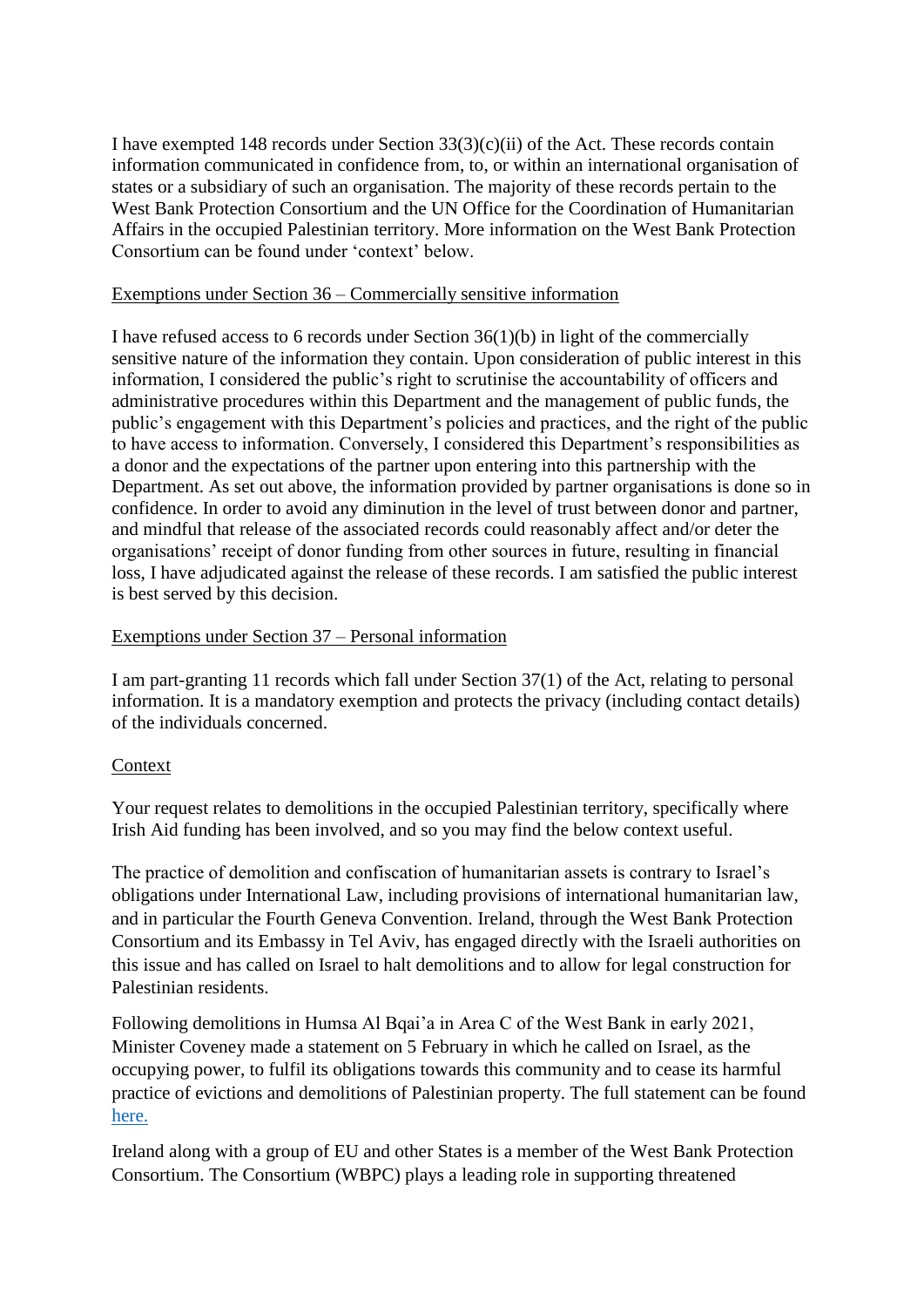I have exempted 148 records under Section  $33(3)(c)(ii)$  of the Act. These records contain information communicated in confidence from, to, or within an international organisation of states or a subsidiary of such an organisation. The majority of these records pertain to the West Bank Protection Consortium and the UN Office for the Coordination of Humanitarian Affairs in the occupied Palestinian territory. More information on the West Bank Protection Consortium can be found under 'context' below.

## Exemptions under Section 36 – Commercially sensitive information

I have refused access to 6 records under Section 36(1)(b) in light of the commercially sensitive nature of the information they contain. Upon consideration of public interest in this information, I considered the public's right to scrutinise the accountability of officers and administrative procedures within this Department and the management of public funds, the public's engagement with this Department's policies and practices, and the right of the public to have access to information. Conversely, I considered this Department's responsibilities as a donor and the expectations of the partner upon entering into this partnership with the Department. As set out above, the information provided by partner organisations is done so in confidence. In order to avoid any diminution in the level of trust between donor and partner, and mindful that release of the associated records could reasonably affect and/or deter the organisations' receipt of donor funding from other sources in future, resulting in financial loss, I have adjudicated against the release of these records. I am satisfied the public interest is best served by this decision.

# Exemptions under Section 37 – Personal information

I am part-granting 11 records which fall under Section 37(1) of the Act, relating to personal information. It is a mandatory exemption and protects the privacy (including contact details) of the individuals concerned.

# Context

Your request relates to demolitions in the occupied Palestinian territory, specifically where Irish Aid funding has been involved, and so you may find the below context useful.

The practice of demolition and confiscation of humanitarian assets is contrary to Israel's obligations under International Law, including provisions of international humanitarian law, and in particular the Fourth Geneva Convention. Ireland, through the West Bank Protection Consortium and its Embassy in Tel Aviv, has engaged directly with the Israeli authorities on this issue and has called on Israel to halt demolitions and to allow for legal construction for Palestinian residents.

Following demolitions in Humsa Al Bqai'a in Area C of the West Bank in early 2021, Minister Coveney made a statement on 5 February in which he called on Israel, as the occupying power, to fulfil its obligations towards this community and to cease its harmful practice of evictions and demolitions of Palestinian property. The full statement can be found [here.](https://www.dfa.ie/news-and-media/press-releases/press-release-archive/2021/february/statement-by-minister-simon-coveney-on-israeli-actions-at-humsa-al-bqaia.php)

Ireland along with a group of EU and other States is a member of the West Bank Protection Consortium. The Consortium (WBPC) plays a leading role in supporting threatened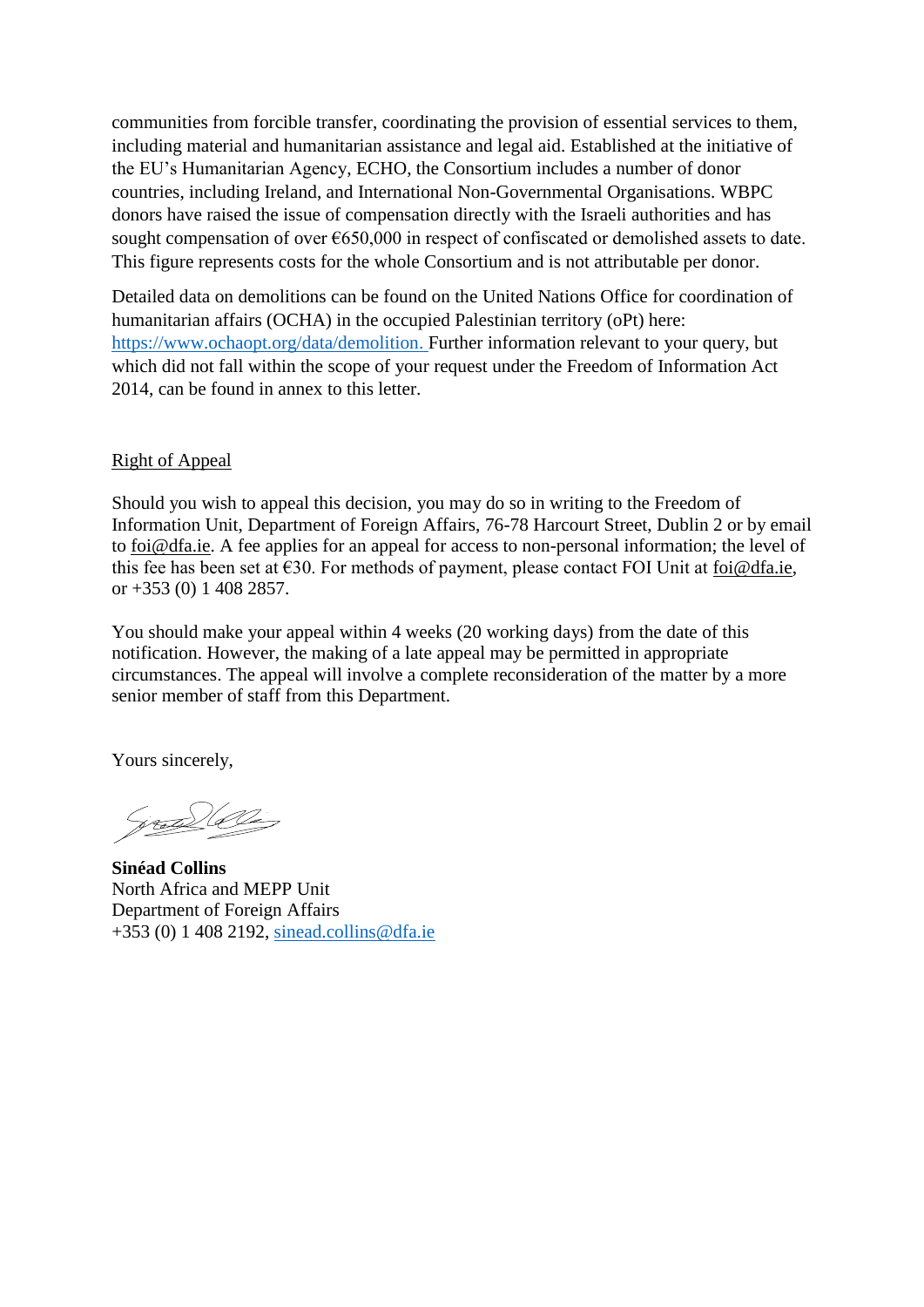communities from forcible transfer, coordinating the provision of essential services to them, including material and humanitarian assistance and legal aid. Established at the initiative of the EU's Humanitarian Agency, ECHO, the Consortium includes a number of donor countries, including Ireland, and International Non-Governmental Organisations. WBPC donors have raised the issue of compensation directly with the Israeli authorities and has sought compensation of over €650,000 in respect of confiscated or demolished assets to date. This figure represents costs for the whole Consortium and is not attributable per donor.

Detailed data on demolitions can be found on the United Nations Office for coordination of humanitarian affairs (OCHA) in the occupied Palestinian territory (oPt) here: [https://www.ochaopt.org/data/demolition.](https://www.ochaopt.org/data/demolition) Further information relevant to your query, but which did not fall within the scope of your request under the Freedom of Information Act 2014, can be found in annex to this letter.

## Right of Appeal

Should you wish to appeal this decision, you may do so in writing to the Freedom of Information Unit, Department of Foreign Affairs, 76-78 Harcourt Street, Dublin 2 or by email to [foi@dfa.ie.](mailto:foi@dfa.ie) A fee applies for an appeal for access to non-personal information; the level of this fee has been set at  $\epsilon$ 30. For methods of payment, please contact FOI Unit at [foi@dfa.ie,](mailto:foi@dfa.ie) or +353 (0) 1 408 2857.

You should make your appeal within 4 weeks (20 working days) from the date of this notification. However, the making of a late appeal may be permitted in appropriate circumstances. The appeal will involve a complete reconsideration of the matter by a more senior member of staff from this Department.

Yours sincerely,

(prof.) Ole

**Sinéad Collins** North Africa and MEPP Unit Department of Foreign Affairs +353 (0) 1 408 2192, [sinead.collins@dfa.ie](mailto:sinead.collins@dfa.ie)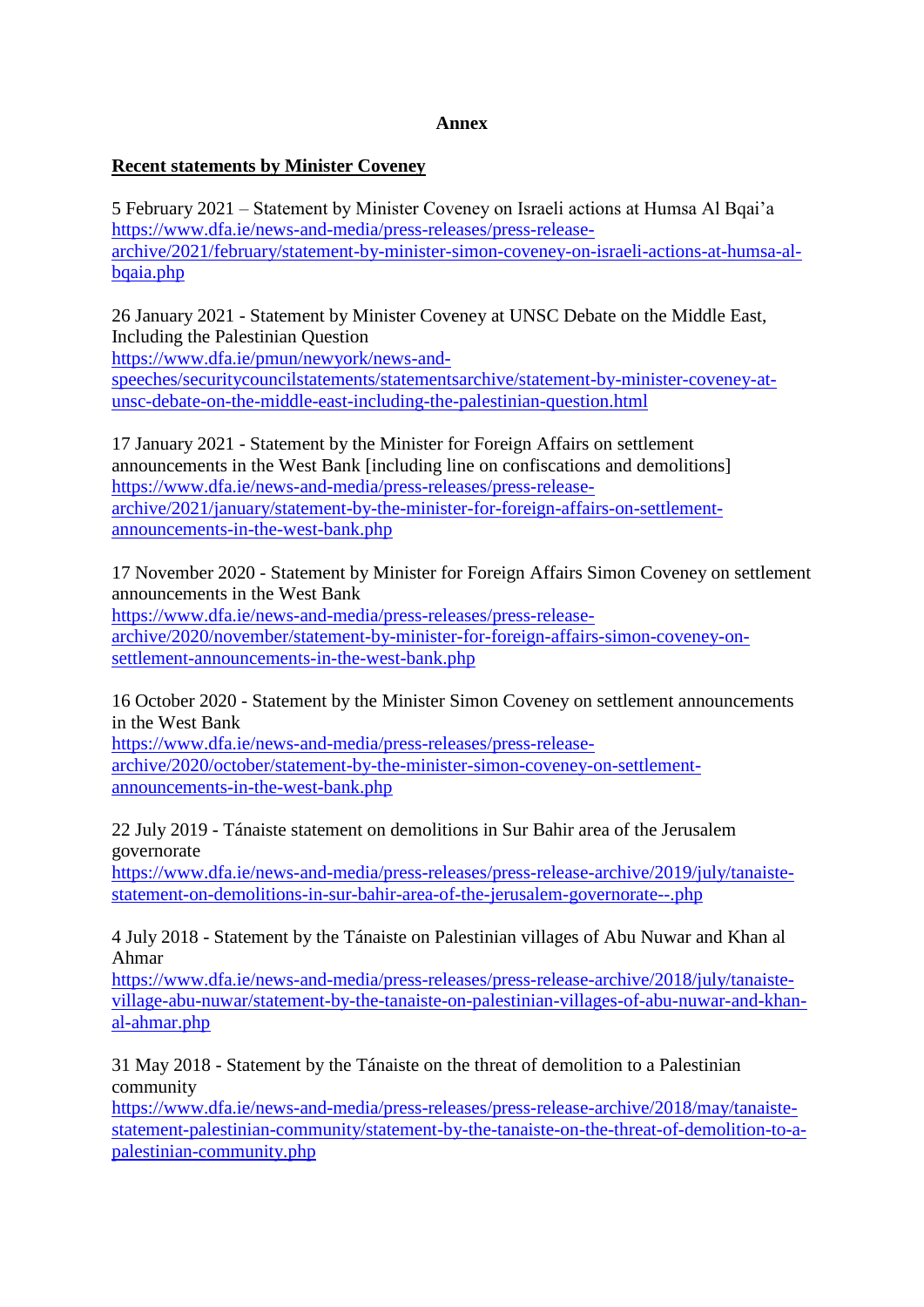### **Annex**

### **Recent statements by Minister Coveney**

5 February 2021 – Statement by Minister Coveney on Israeli actions at Humsa Al Bqai'a [https://www.dfa.ie/news-and-media/press-releases/press-release](https://www.dfa.ie/news-and-media/press-releases/press-release-archive/2021/february/statement-by-minister-simon-coveney-on-israeli-actions-at-humsa-al-bqaia.php)[archive/2021/february/statement-by-minister-simon-coveney-on-israeli-actions-at-humsa-al](https://www.dfa.ie/news-and-media/press-releases/press-release-archive/2021/february/statement-by-minister-simon-coveney-on-israeli-actions-at-humsa-al-bqaia.php)[bqaia.php](https://www.dfa.ie/news-and-media/press-releases/press-release-archive/2021/february/statement-by-minister-simon-coveney-on-israeli-actions-at-humsa-al-bqaia.php)

26 January 2021 - Statement by Minister Coveney at UNSC Debate on the Middle East, Including the Palestinian Question

[https://www.dfa.ie/pmun/newyork/news-and-](https://www.dfa.ie/pmun/newyork/news-and-speeches/securitycouncilstatements/statementsarchive/statement-by-minister-coveney-at-unsc-debate-on-the-middle-east-including-the-palestinian-question.html)

[speeches/securitycouncilstatements/statementsarchive/statement-by-minister-coveney-at](https://www.dfa.ie/pmun/newyork/news-and-speeches/securitycouncilstatements/statementsarchive/statement-by-minister-coveney-at-unsc-debate-on-the-middle-east-including-the-palestinian-question.html)[unsc-debate-on-the-middle-east-including-the-palestinian-question.html](https://www.dfa.ie/pmun/newyork/news-and-speeches/securitycouncilstatements/statementsarchive/statement-by-minister-coveney-at-unsc-debate-on-the-middle-east-including-the-palestinian-question.html)

17 January 2021 - Statement by the Minister for Foreign Affairs on settlement announcements in the West Bank [including line on confiscations and demolitions] [https://www.dfa.ie/news-and-media/press-releases/press-release](https://www.dfa.ie/news-and-media/press-releases/press-release-archive/2021/january/statement-by-the-minister-for-foreign-affairs-on-settlement-announcements-in-the-west-bank.php)[archive/2021/january/statement-by-the-minister-for-foreign-affairs-on-settlement](https://www.dfa.ie/news-and-media/press-releases/press-release-archive/2021/january/statement-by-the-minister-for-foreign-affairs-on-settlement-announcements-in-the-west-bank.php)[announcements-in-the-west-bank.php](https://www.dfa.ie/news-and-media/press-releases/press-release-archive/2021/january/statement-by-the-minister-for-foreign-affairs-on-settlement-announcements-in-the-west-bank.php)

17 November 2020 - Statement by Minister for Foreign Affairs Simon Coveney on settlement announcements in the West Bank

[https://www.dfa.ie/news-and-media/press-releases/press-release](https://www.dfa.ie/news-and-media/press-releases/press-release-archive/2020/november/statement-by-minister-for-foreign-affairs-simon-coveney-on-settlement-announcements-in-the-west-bank.php)[archive/2020/november/statement-by-minister-for-foreign-affairs-simon-coveney-on](https://www.dfa.ie/news-and-media/press-releases/press-release-archive/2020/november/statement-by-minister-for-foreign-affairs-simon-coveney-on-settlement-announcements-in-the-west-bank.php)[settlement-announcements-in-the-west-bank.php](https://www.dfa.ie/news-and-media/press-releases/press-release-archive/2020/november/statement-by-minister-for-foreign-affairs-simon-coveney-on-settlement-announcements-in-the-west-bank.php)

16 October 2020 - Statement by the Minister Simon Coveney on settlement announcements in the West Bank

[https://www.dfa.ie/news-and-media/press-releases/press-release](https://www.dfa.ie/news-and-media/press-releases/press-release-archive/2020/october/statement-by-the-minister-simon-coveney-on-settlement-announcements-in-the-west-bank.php)[archive/2020/october/statement-by-the-minister-simon-coveney-on-settlement](https://www.dfa.ie/news-and-media/press-releases/press-release-archive/2020/october/statement-by-the-minister-simon-coveney-on-settlement-announcements-in-the-west-bank.php)[announcements-in-the-west-bank.php](https://www.dfa.ie/news-and-media/press-releases/press-release-archive/2020/october/statement-by-the-minister-simon-coveney-on-settlement-announcements-in-the-west-bank.php)

22 July 2019 - Tánaiste statement on demolitions in Sur Bahir area of the Jerusalem governorate

[https://www.dfa.ie/news-and-media/press-releases/press-release-archive/2019/july/tanaiste](https://www.dfa.ie/news-and-media/press-releases/press-release-archive/2019/july/tanaiste-statement-on-demolitions-in-sur-bahir-area-of-the-jerusalem-governorate--.php)[statement-on-demolitions-in-sur-bahir-area-of-the-jerusalem-governorate--.php](https://www.dfa.ie/news-and-media/press-releases/press-release-archive/2019/july/tanaiste-statement-on-demolitions-in-sur-bahir-area-of-the-jerusalem-governorate--.php)

4 July 2018 - Statement by the Tánaiste on Palestinian villages of Abu Nuwar and Khan al Ahmar

[https://www.dfa.ie/news-and-media/press-releases/press-release-archive/2018/july/tanaiste](https://www.dfa.ie/news-and-media/press-releases/press-release-archive/2018/july/tanaiste-village-abu-nuwar/statement-by-the-tanaiste-on-palestinian-villages-of-abu-nuwar-and-khan-al-ahmar.php)[village-abu-nuwar/statement-by-the-tanaiste-on-palestinian-villages-of-abu-nuwar-and-khan](https://www.dfa.ie/news-and-media/press-releases/press-release-archive/2018/july/tanaiste-village-abu-nuwar/statement-by-the-tanaiste-on-palestinian-villages-of-abu-nuwar-and-khan-al-ahmar.php)[al-ahmar.php](https://www.dfa.ie/news-and-media/press-releases/press-release-archive/2018/july/tanaiste-village-abu-nuwar/statement-by-the-tanaiste-on-palestinian-villages-of-abu-nuwar-and-khan-al-ahmar.php)

31 May 2018 - Statement by the Tánaiste on the threat of demolition to a Palestinian community

[https://www.dfa.ie/news-and-media/press-releases/press-release-archive/2018/may/tanaiste](https://www.dfa.ie/news-and-media/press-releases/press-release-archive/2018/may/tanaiste-statement-palestinian-community/statement-by-the-tanaiste-on-the-threat-of-demolition-to-a-palestinian-community.php)[statement-palestinian-community/statement-by-the-tanaiste-on-the-threat-of-demolition-to-a](https://www.dfa.ie/news-and-media/press-releases/press-release-archive/2018/may/tanaiste-statement-palestinian-community/statement-by-the-tanaiste-on-the-threat-of-demolition-to-a-palestinian-community.php)[palestinian-community.php](https://www.dfa.ie/news-and-media/press-releases/press-release-archive/2018/may/tanaiste-statement-palestinian-community/statement-by-the-tanaiste-on-the-threat-of-demolition-to-a-palestinian-community.php)